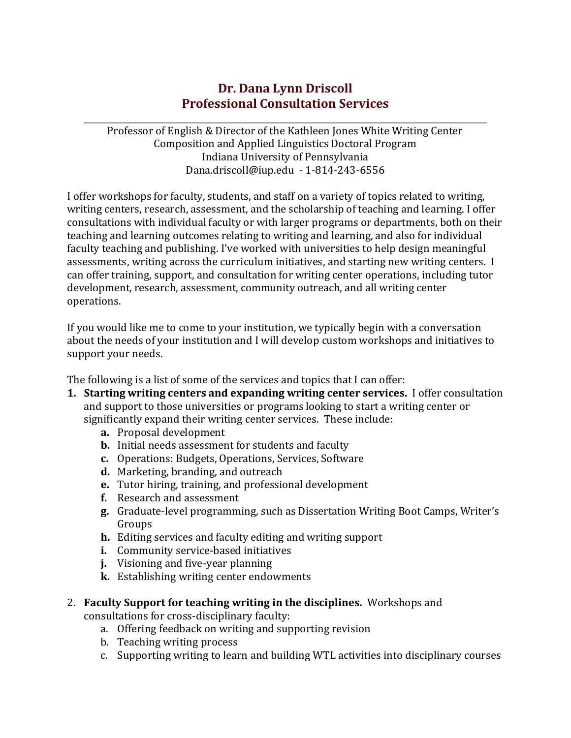# **Dr. Dana Lynn Driscoll Professional Consultation Services**

Professor of English & Director of the Kathleen Jones White Writing Center Composition and Applied Linguistics Doctoral Program Indiana University of Pennsylvania [Dana.driscoll@iup.edu](mailto:Dana.driscoll@iup.edu) - 1-814-243-6556

I offer workshops for faculty, students, and staff on a variety of topics related to writing, writing centers, research, assessment, and the scholarship of teaching and learning. I offer consultations with individual faculty or with larger programs or departments, both on their teaching and learning outcomes relating to writing and learning, and also for individual faculty teaching and publishing. I've worked with universities to help design meaningful assessments, writing across the curriculum initiatives, and starting new writing centers. I can offer training, support, and consultation for writing center operations, including tutor development, research, assessment, community outreach, and all writing center operations.

If you would like me to come to your institution, we typically begin with a conversation about the needs of your institution and I will develop custom workshops and initiatives to support your needs.

The following is a list of some of the services and topics that I can offer:

- **1. Starting writing centers and expanding writing center services.** I offer consultation and support to those universities or programs looking to start a writing center or significantly expand their writing center services. These include:
	- **a.** Proposal development
	- **b.** Initial needs assessment for students and faculty
	- **c.** Operations: Budgets, Operations, Services, Software
	- **d.** Marketing, branding, and outreach
	- **e.** Tutor hiring, training, and professional development
	- **f.** Research and assessment
	- **g.** Graduate-level programming, such as Dissertation Writing Boot Camps, Writer's Groups
	- **h.** Editing services and faculty editing and writing support
	- **i.** Community service-based initiatives
	- **j.** Visioning and five-year planning
	- **k.** Establishing writing center endowments

## 2. **Faculty Support for teaching writing in the disciplines.** Workshops and

consultations for cross-disciplinary faculty:

- a. Offering feedback on writing and supporting revision
- b. Teaching writing process
- c. Supporting writing to learn and building WTL activities into disciplinary courses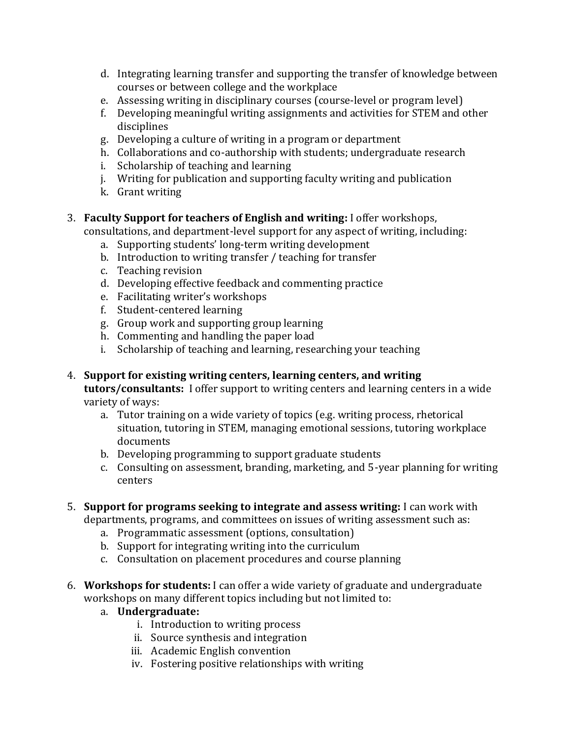- d. Integrating learning transfer and supporting the transfer of knowledge between courses or between college and the workplace
- e. Assessing writing in disciplinary courses (course-level or program level)
- f. Developing meaningful writing assignments and activities for STEM and other disciplines
- g. Developing a culture of writing in a program or department
- h. Collaborations and co-authorship with students; undergraduate research
- i. Scholarship of teaching and learning
- j. Writing for publication and supporting faculty writing and publication
- k. Grant writing

### 3. **Faculty Support for teachers of English and writing:** I offer workshops,

consultations, and department-level support for any aspect of writing, including:

- a. Supporting students' long-term writing development
- b. Introduction to writing transfer / teaching for transfer
- c. Teaching revision
- d. Developing effective feedback and commenting practice
- e. Facilitating writer's workshops
- f. Student-centered learning
- g. Group work and supporting group learning
- h. Commenting and handling the paper load
- i. Scholarship of teaching and learning, researching your teaching
- 4. **Support for existing writing centers, learning centers, and writing tutors/consultants:** I offer support to writing centers and learning centers in a wide variety of ways:
	- a. Tutor training on a wide variety of topics (e.g. writing process, rhetorical situation, tutoring in STEM, managing emotional sessions, tutoring workplace documents
	- b. Developing programming to support graduate students
	- c. Consulting on assessment, branding, marketing, and 5-year planning for writing centers

#### 5. **Support for programs seeking to integrate and assess writing:** I can work with

departments, programs, and committees on issues of writing assessment such as:

- a. Programmatic assessment (options, consultation)
- b. Support for integrating writing into the curriculum
- c. Consultation on placement procedures and course planning
- 6. **Workshops for students:** I can offer a wide variety of graduate and undergraduate workshops on many different topics including but not limited to:

## a. **Undergraduate:**

- i. Introduction to writing process
- ii. Source synthesis and integration
- iii. Academic English convention
- iv. Fostering positive relationships with writing